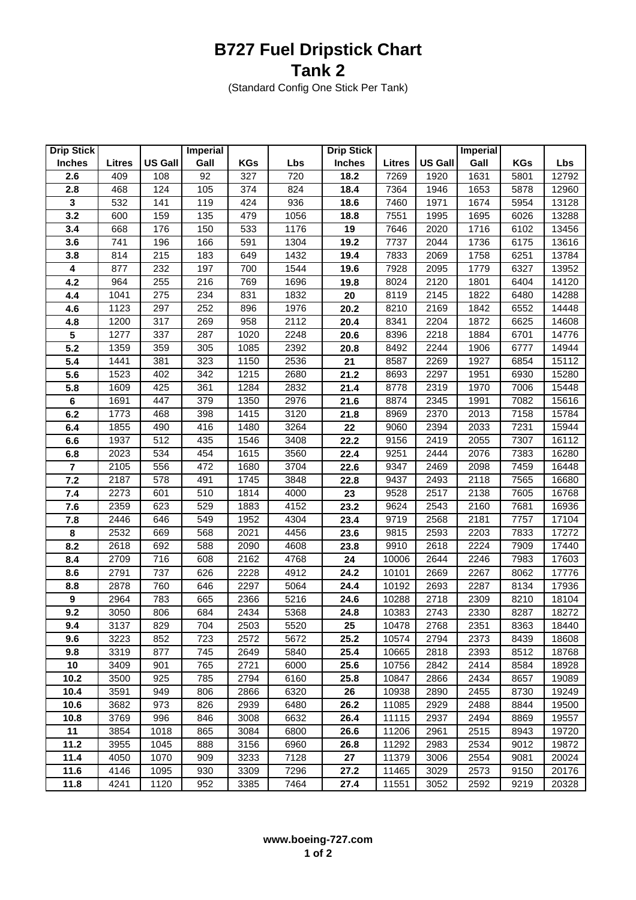## **B727 Fuel Dripstick Chart Tank 2**

(Standard Config One Stick Per Tank)

| <b>Drip Stick</b> |        |                | <b>Imperial</b> |            |      | <b>Drip Stick</b> |               |                | <b>Imperial</b> |            |       |
|-------------------|--------|----------------|-----------------|------------|------|-------------------|---------------|----------------|-----------------|------------|-------|
| <b>Inches</b>     | Litres | <b>US Gall</b> | Gall            | <b>KGs</b> | Lbs  | <b>Inches</b>     | <b>Litres</b> | <b>US Gall</b> | Gall            | <b>KGs</b> | Lbs   |
| 2.6               | 409    | 108            | 92              | 327        | 720  | 18.2              | 7269          | 1920           | 1631            | 5801       | 12792 |
| 2.8               | 468    | 124            | 105             | 374        | 824  | 18.4              | 7364          | 1946           | 1653            | 5878       | 12960 |
| $\mathbf 3$       | 532    | 141            | 119             | 424        | 936  | 18.6              | 7460          | 1971           | 1674            | 5954       | 13128 |
| 3.2               | 600    | 159            | 135             | 479        | 1056 | 18.8              | 7551          | 1995           | 1695            | 6026       | 13288 |
| 3.4               | 668    | 176            | 150             | 533        | 1176 | 19                | 7646          | 2020           | 1716            | 6102       | 13456 |
| 3.6               | 741    | 196            | 166             | 591        | 1304 | 19.2              | 7737          | 2044           | 1736            | 6175       | 13616 |
| 3.8               | 814    | 215            | 183             | 649        | 1432 | 19.4              | 7833          | 2069           | 1758            | 6251       | 13784 |
| 4                 | 877    | 232            | 197             | 700        | 1544 | 19.6              | 7928          | 2095           | 1779            | 6327       | 13952 |
| 4.2               | 964    | 255            | 216             | 769        | 1696 | 19.8              | 8024          | 2120           | 1801            | 6404       | 14120 |
| 4.4               | 1041   | 275            | 234             | 831        | 1832 | 20                | 8119          | 2145           | 1822            | 6480       | 14288 |
| 4.6               | 1123   | 297            | 252             | 896        | 1976 | 20.2              | 8210          | 2169           | 1842            | 6552       | 14448 |
| 4.8               | 1200   | 317            | 269             | 958        | 2112 | 20.4              | 8341          | 2204           | 1872            | 6625       | 14608 |
| 5                 | 1277   | 337            | 287             | 1020       | 2248 | 20.6              | 8396          | 2218           | 1884            | 6701       | 14776 |
| 5.2               | 1359   | 359            | 305             | 1085       | 2392 | 20.8              | 8492          | 2244           | 1906            | 6777       | 14944 |
| 5.4               | 1441   | 381            | 323             | 1150       | 2536 | 21                | 8587          | 2269           | 1927            | 6854       | 15112 |
| 5.6               | 1523   | 402            | 342             | 1215       | 2680 | 21.2              | 8693          | 2297           | 1951            | 6930       | 15280 |
| 5.8               | 1609   | 425            | 361             | 1284       | 2832 | 21.4              | 8778          | 2319           | 1970            | 7006       | 15448 |
| 6                 | 1691   | 447            | 379             | 1350       | 2976 | 21.6              | 8874          | 2345           | 1991            | 7082       | 15616 |
| 6.2               | 1773   | 468            | 398             | 1415       | 3120 | 21.8              | 8969          | 2370           | 2013            | 7158       | 15784 |
| 6.4               | 1855   | 490            | 416             | 1480       | 3264 | 22                | 9060          | 2394           | 2033            | 7231       | 15944 |
| 6.6               | 1937   | 512            | 435             | 1546       | 3408 | 22.2              | 9156          | 2419           | 2055            | 7307       | 16112 |
| 6.8               | 2023   | 534            | 454             | 1615       | 3560 | 22.4              | 9251          | 2444           | 2076            | 7383       | 16280 |
| $\overline{7}$    | 2105   | 556            | 472             | 1680       | 3704 | 22.6              | 9347          | 2469           | 2098            | 7459       | 16448 |
| 7.2               | 2187   | 578            | 491             | 1745       | 3848 | 22.8              | 9437          | 2493           | 2118            | 7565       | 16680 |
| 7.4               | 2273   | 601            | 510             | 1814       | 4000 | 23                | 9528          | 2517           | 2138            | 7605       | 16768 |
| 7.6               | 2359   | 623            | 529             | 1883       | 4152 | 23.2              | 9624          | 2543           | 2160            | 7681       | 16936 |
| 7.8               | 2446   | 646            | 549             | 1952       | 4304 | 23.4              | 9719          | 2568           | 2181            | 7757       | 17104 |
| 8                 | 2532   | 669            | 568             | 2021       | 4456 | 23.6              | 9815          | 2593           | 2203            | 7833       | 17272 |
| 8.2               | 2618   | 692            | 588             | 2090       | 4608 | 23.8              | 9910          | 2618           | 2224            | 7909       | 17440 |
| 8.4               | 2709   | 716            | 608             | 2162       | 4768 | 24                | 10006         | 2644           | 2246            | 7983       | 17603 |
| 8.6               | 2791   | 737            | 626             | 2228       | 4912 | 24.2              | 10101         | 2669           | 2267            | 8062       | 17776 |
| 8.8               | 2878   | 760            | 646             | 2297       | 5064 | 24.4              | 10192         | 2693           | 2287            | 8134       | 17936 |
| $\boldsymbol{9}$  | 2964   | 783            | 665             | 2366       | 5216 | 24.6              | 10288         | 2718           | 2309            | 8210       | 18104 |
| 9.2               | 3050   | 806            | 684             | 2434       | 5368 | 24.8              | 10383         | 2743           | 2330            | 8287       | 18272 |
| 9.4               | 3137   | 829            | 704             | 2503       | 5520 | 25                | 10478         | 2768           | 2351            | 8363       | 18440 |
| 9.6               | 3223   | 852            | 723             | 2572       | 5672 | 25.2              | 10574         | 2794           | 2373            | 8439       | 18608 |
| 9.8               | 3319   | 877            | 745             | 2649       | 5840 | 25.4              | 10665         | 2818           | 2393            | 8512       | 18768 |
| 10                | 3409   | 901            | 765             | 2721       | 6000 | 25.6              | 10756         | 2842           | 2414            | 8584       | 18928 |
| 10.2              | 3500   | 925            | 785             | 2794       | 6160 | 25.8              | 10847         | 2866           | 2434            | 8657       | 19089 |
| 10.4              | 3591   | 949            | 806             | 2866       | 6320 | 26                | 10938         | 2890           | 2455            | 8730       | 19249 |
| 10.6              | 3682   | 973            | 826             | 2939       | 6480 | 26.2              | 11085         | 2929           | 2488            | 8844       | 19500 |
| 10.8              | 3769   | 996            | 846             | 3008       | 6632 | 26.4              | 11115         | 2937           | 2494            | 8869       | 19557 |
| 11                | 3854   | 1018           | 865             | 3084       | 6800 | 26.6              | 11206         | 2961           | 2515            | 8943       | 19720 |
| 11.2              | 3955   | 1045           | 888             | 3156       | 6960 | 26.8              | 11292         | 2983           | 2534            | 9012       | 19872 |
| 11.4              | 4050   | 1070           | 909             | 3233       | 7128 | 27                | 11379         | 3006           | 2554            | 9081       | 20024 |
| 11.6              | 4146   | 1095           | 930             | 3309       | 7296 | 27.2              | 11465         | 3029           | 2573            | 9150       | 20176 |
| 11.8              | 4241   | 1120           | 952             | 3385       | 7464 | 27.4              | 11551         | 3052           | 2592            | 9219       | 20328 |